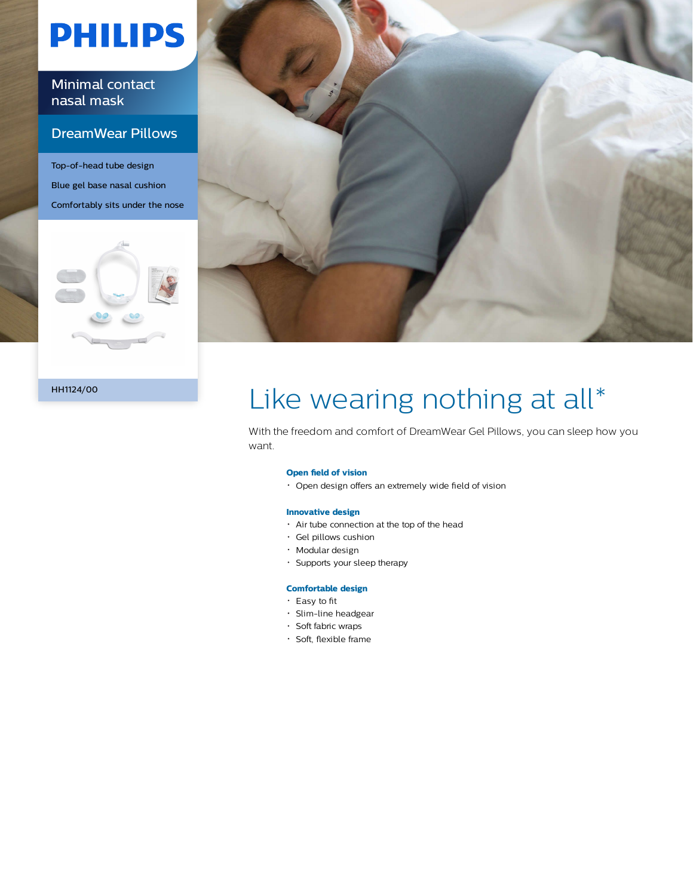# **PHILIPS**

Minimal contact nasal mask

### DreamWear Pillows

Top-of-head tube design Blue gel base nasal cushion Comfortably sits under the nose





#### HH1124/00

## Like wearing nothing at all\*

With the freedom and comfort of DreamWear Gel Pillows, you can sleep how you want.

#### **Open field of vision**

Open design offers an extremely wide field of vision

#### **Innovative design**

- Air tube connection at the top of the head
- Gel pillows cushion
- Modular design
- Supports your sleep therapy

#### **Comfortable design**

- Easy to fit
- Slim-line headgear
- · Soft fabric wraps
- Soft, flexible frame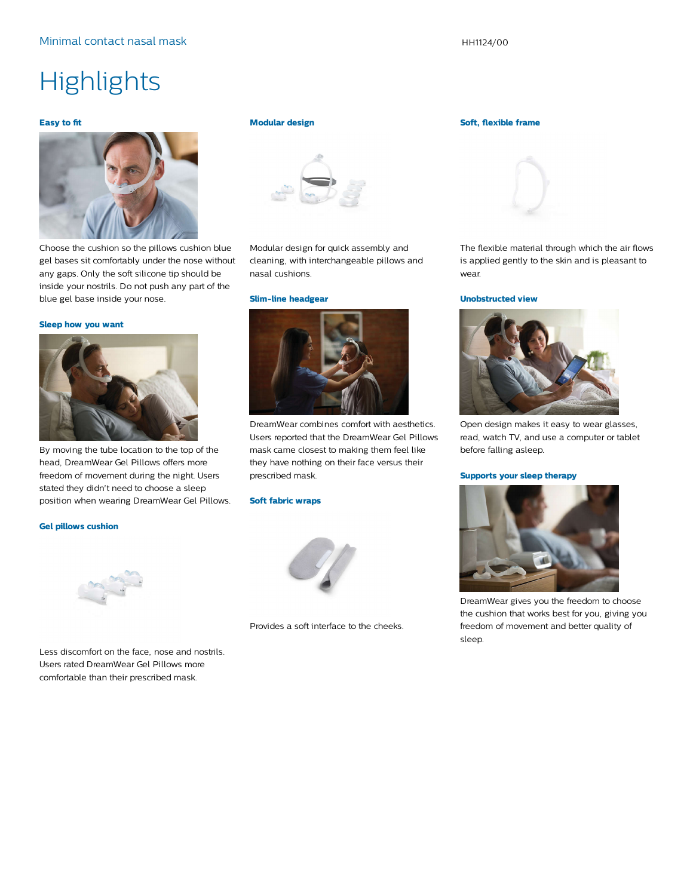### **Highlights**

#### **Easy to fit**



Choose the cushion so the pillows cushion blue gel bases sit comfortably under the nose without any gaps. Only the soft silicone tip should be inside your nostrils. Do not push any part of the blue gel base inside your nose.

#### **Sleep how you want**



By moving the tube location to the top of the head, DreamWear Gel Pillows offers more freedom of movement during the night. Users stated they didn't need to choose a sleep position when wearing DreamWear Gel Pillows.

#### **Gel pillows cushion**



Less discomfort on the face, nose and nostrils. Users rated DreamWear Gel Pillows more comfortable than their prescribed mask.

#### **Modular design**



Modular design for quick assembly and cleaning, with interchangeable pillows and nasal cushions.

**Slim-line headgear**



DreamWear combines comfort with aesthetics. Users reported that the DreamWear Gel Pillows mask came closest to making them feel like they have nothing on their face versus their prescribed mask.

#### **Soft fabric wraps**



Provides a soft interface to the cheeks.

#### **Soft, flexible frame**



The flexible material through which the air flows is applied gently to the skin and is pleasant to wear.

#### **Unobstructed view**



Open design makes it easy to wear glasses, read, watch TV, and use a computer or tablet before falling asleep.

#### **Supports your sleep therapy**



DreamWear gives you the freedom to choose the cushion that works best for you, giving you freedom of movement and better quality of sleep.